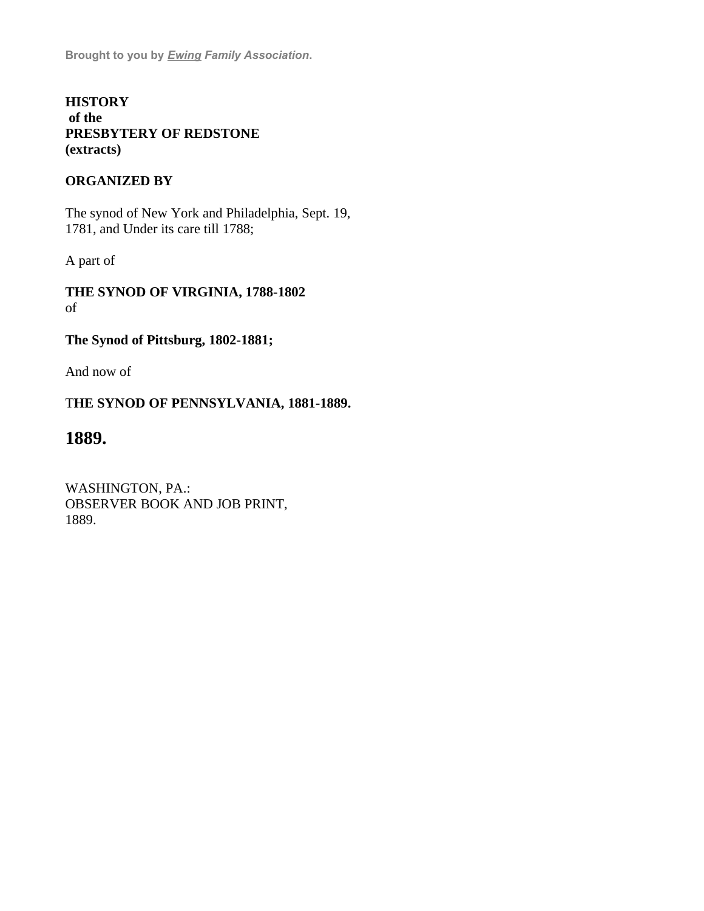**Brought to you by** *[Ewing Family Association](https://web.archive.org/web/20100922074249/http://ewingfamilyassociation.org/index.html)***.**

# **HISTORY of the PRESBYTERY OF REDSTONE (extracts)**

# **ORGANIZED BY**

The synod of New York and Philadelphia, Sept. 19, 1781, and Under its care till 1788;

A part of

**THE SYNOD OF VIRGINIA, 1788-1802** of

# **The Synod of Pittsburg, 1802-1881;**

And now of

# T**HE SYNOD OF PENNSYLVANIA, 1881-1889.**

# **1889.**

WASHINGTON, PA.: OBSERVER BOOK AND JOB PRINT, 1889.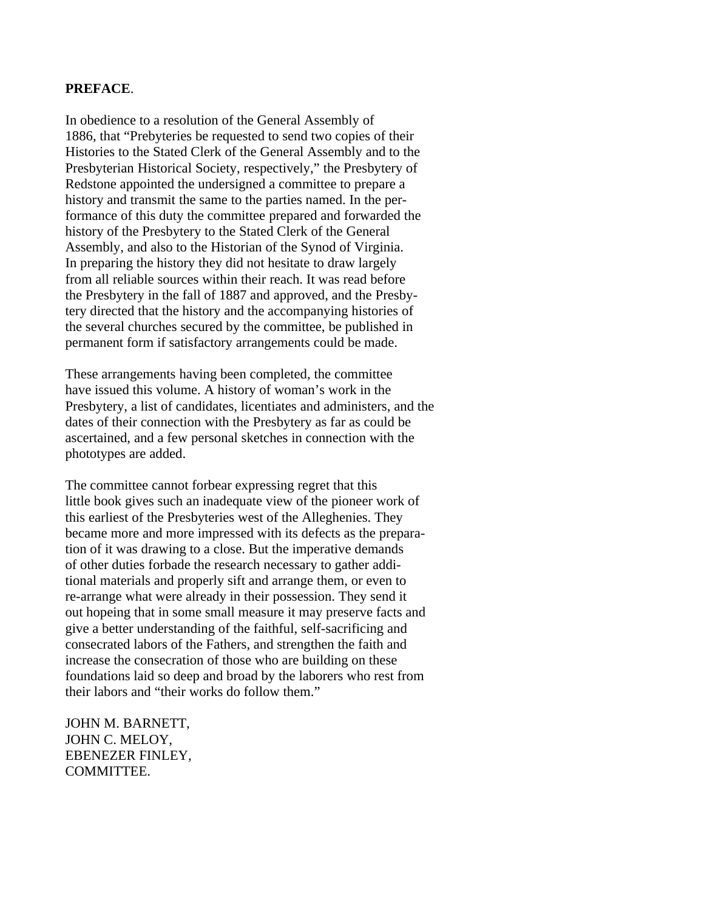## **PREFACE**.

In obedience to a resolution of the General Assembly of 1886, that "Prebyteries be requested to send two copies of their Histories to the Stated Clerk of the General Assembly and to the Presbyterian Historical Society, respectively," the Presbytery of Redstone appointed the undersigned a committee to prepare a history and transmit the same to the parties named. In the performance of this duty the committee prepared and forwarded the history of the Presbytery to the Stated Clerk of the General Assembly, and also to the Historian of the Synod of Virginia. In preparing the history they did not hesitate to draw largely from all reliable sources within their reach. It was read before the Presbytery in the fall of 1887 and approved, and the Presbytery directed that the history and the accompanying histories of the several churches secured by the committee, be published in permanent form if satisfactory arrangements could be made.

These arrangements having been completed, the committee have issued this volume. A history of woman's work in the Presbytery, a list of candidates, licentiates and administers, and the dates of their connection with the Presbytery as far as could be ascertained, and a few personal sketches in connection with the phototypes are added.

The committee cannot forbear expressing regret that this little book gives such an inadequate view of the pioneer work of this earliest of the Presbyteries west of the Alleghenies. They became more and more impressed with its defects as the preparation of it was drawing to a close. But the imperative demands of other duties forbade the research necessary to gather additional materials and properly sift and arrange them, or even to re-arrange what were already in their possession. They send it out hopeing that in some small measure it may preserve facts and give a better understanding of the faithful, self-sacrificing and consecrated labors of the Fathers, and strengthen the faith and increase the consecration of those who are building on these foundations laid so deep and broad by the laborers who rest from their labors and "their works do follow them."

JOHN M. BARNETT, JOHN C. MELOY, EBENEZER FINLEY, COMMITTEE.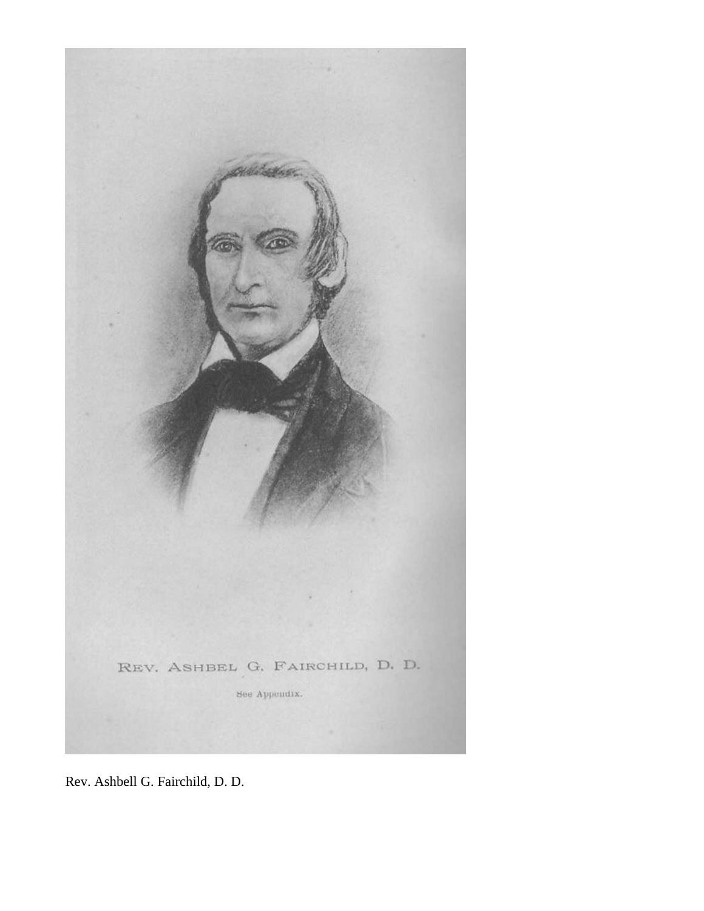

Rev. Ashbell G. Fairchild, D. D.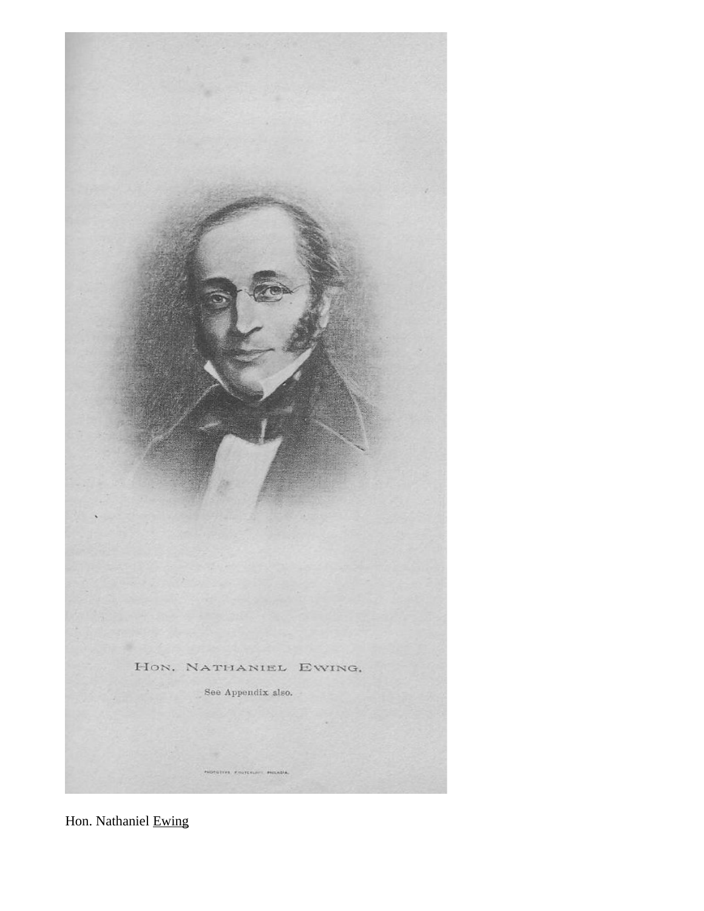

Hon. Nathaniel Ewing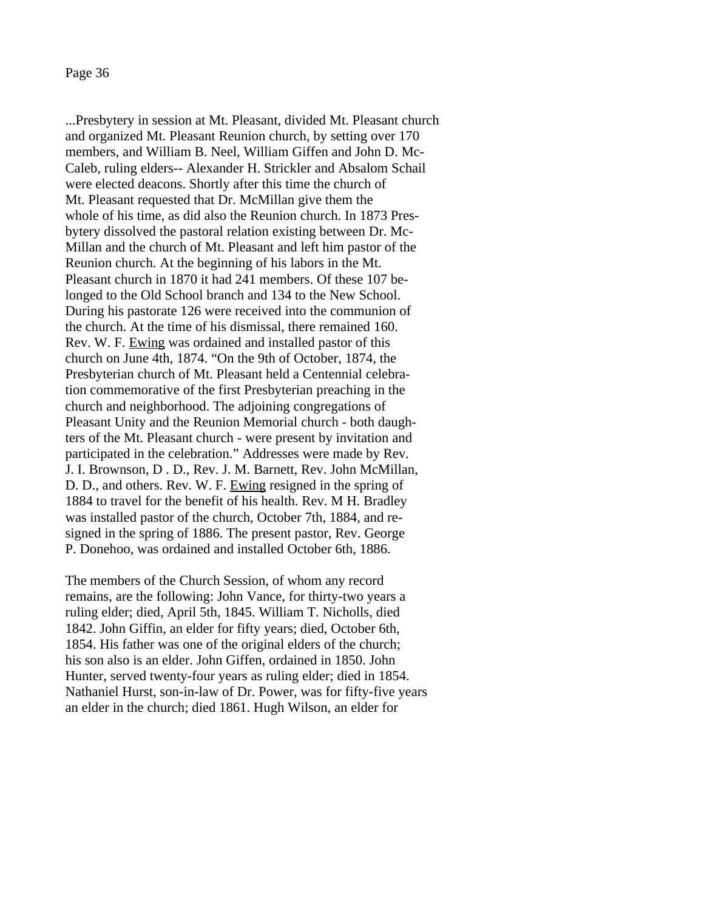...Presbytery in session at Mt. Pleasant, divided Mt. Pleasant church and organized Mt. Pleasant Reunion church, by setting over 170 members, and William B. Neel, William Giffen and John D. Mc-Caleb, ruling elders-- Alexander H. Strickler and Absalom Schail were elected deacons. Shortly after this time the church of Mt. Pleasant requested that Dr. McMillan give them the whole of his time, as did also the Reunion church. In 1873 Presbytery dissolved the pastoral relation existing between Dr. Mc-Millan and the church of Mt. Pleasant and left him pastor of the Reunion church. At the beginning of his labors in the Mt. Pleasant church in 1870 it had 241 members. Of these 107 belonged to the Old School branch and 134 to the New School. During his pastorate 126 were received into the communion of the church. At the time of his dismissal, there remained 160. Rev. W. F. Ewing was ordained and installed pastor of this church on June 4th, 1874. "On the 9th of October, 1874, the Presbyterian church of Mt. Pleasant held a Centennial celebration commemorative of the first Presbyterian preaching in the church and neighborhood. The adjoining congregations of Pleasant Unity and the Reunion Memorial church - both daughters of the Mt. Pleasant church - were present by invitation and participated in the celebration." Addresses were made by Rev. J. I. Brownson, D . D., Rev. J. M. Barnett, Rev. John McMillan, D. D., and others. Rev. W. F. Ewing resigned in the spring of 1884 to travel for the benefit of his health. Rev. M H. Bradley was installed pastor of the church, October 7th, 1884, and resigned in the spring of 1886. The present pastor, Rev. George P. Donehoo, was ordained and installed October 6th, 1886.

The members of the Church Session, of whom any record remains, are the following: John Vance, for thirty-two years a ruling elder; died, April 5th, 1845. William T. Nicholls, died 1842. John Giffin, an elder for fifty years; died, October 6th, 1854. His father was one of the original elders of the church; his son also is an elder. John Giffen, ordained in 1850. John Hunter, served twenty-four years as ruling elder; died in 1854. Nathaniel Hurst, son-in-law of Dr. Power, was for fifty-five years an elder in the church; died 1861. Hugh Wilson, an elder for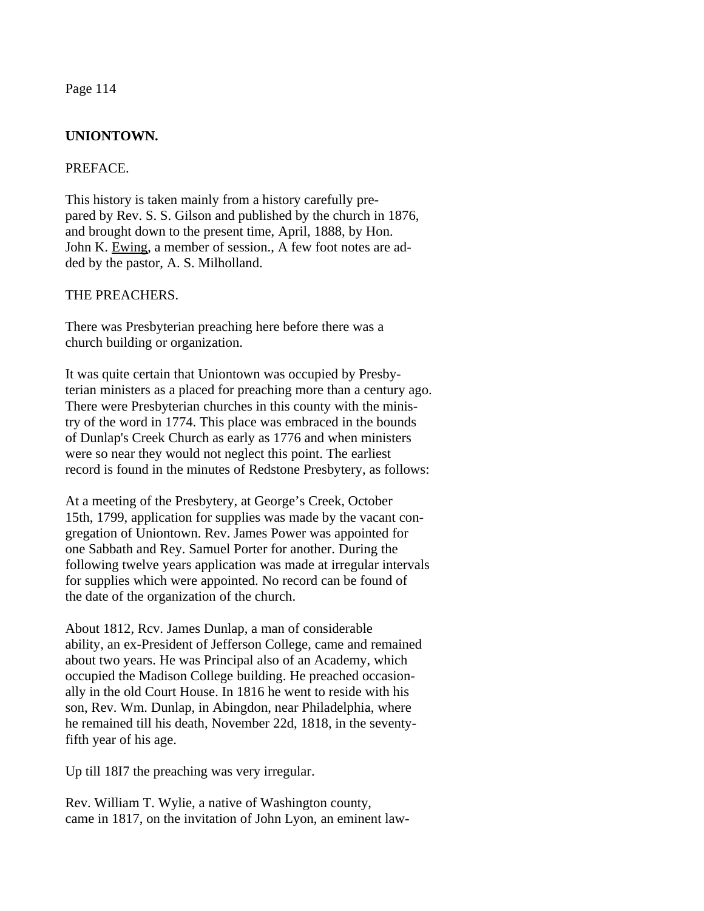## **UNIONTOWN.**

#### PREFACE.

This history is taken mainly from a history carefully prepared by Rev. S. S. Gilson and published by the church in 1876, and brought down to the present time, April, 1888, by Hon. John K. Ewing, a member of session., A few foot notes are added by the pastor, A. S. Milholland.

#### THE PREACHERS.

There was Presbyterian preaching here before there was a church building or organization.

It was quite certain that Uniontown was occupied by Presbyterian ministers as a placed for preaching more than a century ago. There were Presbyterian churches in this county with the ministry of the word in 1774. This place was embraced in the bounds of Dunlap's Creek Church as early as 1776 and when ministers were so near they would not neglect this point. The earliest record is found in the minutes of Redstone Presbytery, as follows:

At a meeting of the Presbytery, at George's Creek, October 15th, 1799, application for supplies was made by the vacant congregation of Uniontown. Rev. James Power was appointed for one Sabbath and Rey. Samuel Porter for another. During the following twelve years application was made at irregular intervals for supplies which were appointed. No record can be found of the date of the organization of the church.

About 1812, Rcv. James Dunlap, a man of considerable ability, an ex-President of Jefferson College, came and remained about two years. He was Principal also of an Academy, which occupied the Madison College building. He preached occasionally in the old Court House. In 1816 he went to reside with his son, Rev. Wm. Dunlap, in Abingdon, near Philadelphia, where he remained till his death, November 22d, 1818, in the seventyfifth year of his age.

Up till 18I7 the preaching was very irregular.

Rev. William T. Wylie, a native of Washington county, came in 1817, on the invitation of John Lyon, an eminent law-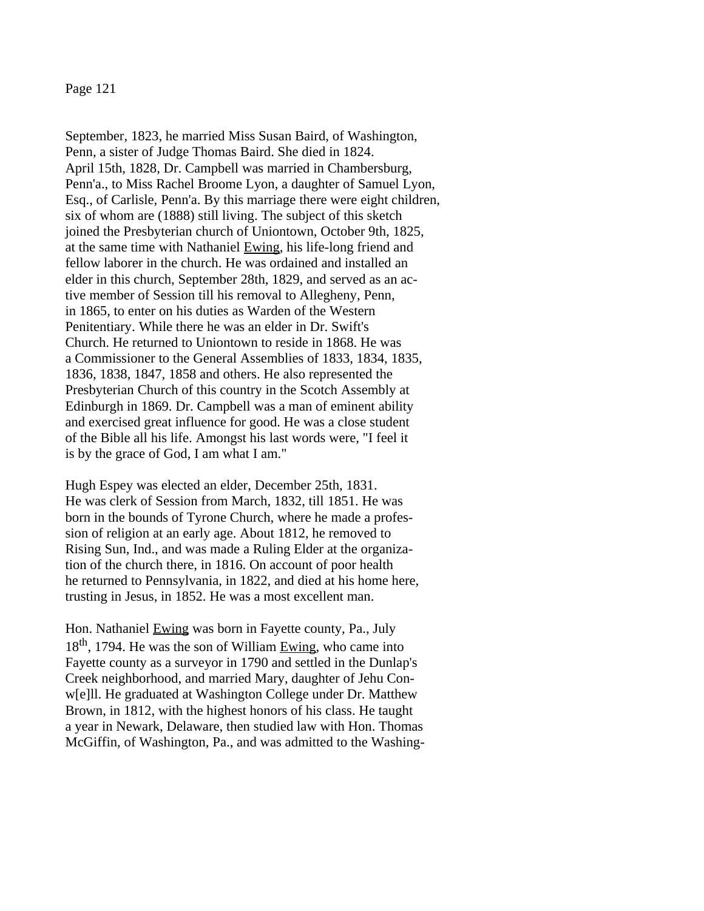September, 1823, he married Miss Susan Baird, of Washington, Penn, a sister of Judge Thomas Baird. She died in 1824. April 15th, 1828, Dr. Campbell was married in Chambersburg, Penn'a., to Miss Rachel Broome Lyon, a daughter of Samuel Lyon, Esq., of Carlisle, Penn'a. By this marriage there were eight children, six of whom are (1888) still living. The subject of this sketch joined the Presbyterian church of Uniontown, October 9th, 1825, at the same time with Nathaniel Ewing, his life-long friend and fellow laborer in the church. He was ordained and installed an elder in this church, September 28th, 1829, and served as an active member of Session till his removal to Allegheny, Penn, in 1865, to enter on his duties as Warden of the Western Penitentiary. While there he was an elder in Dr. Swift's Church. He returned to Uniontown to reside in 1868. He was a Commissioner to the General Assemblies of 1833, 1834, 1835, 1836, 1838, 1847, 1858 and others. He also represented the Presbyterian Church of this country in the Scotch Assembly at Edinburgh in 1869. Dr. Campbell was a man of eminent ability and exercised great influence for good. He was a close student of the Bible all his life. Amongst his last words were, "I feel it is by the grace of God, I am what I am."

Hugh Espey was elected an elder, December 25th, 1831. He was clerk of Session from March, 1832, till 1851. He was born in the bounds of Tyrone Church, where he made a profession of religion at an early age. About 1812, he removed to Rising Sun, Ind., and was made a Ruling Elder at the organization of the church there, in 1816. On account of poor health he returned to Pennsylvania, in 1822, and died at his home here, trusting in Jesus, in 1852. He was a most excellent man.

Hon. Nathaniel Ewing was born in Fayette county, Pa., July  $18<sup>th</sup>$ , 1794. He was the son of William Ewing, who came into Fayette county as a surveyor in 1790 and settled in the Dunlap's Creek neighborhood, and married Mary, daughter of Jehu Conw[e]ll. He graduated at Washington College under Dr. Matthew Brown, in 1812, with the highest honors of his class. He taught a year in Newark, Delaware, then studied law with Hon. Thomas McGiffin, of Washington, Pa., and was admitted to the Washing-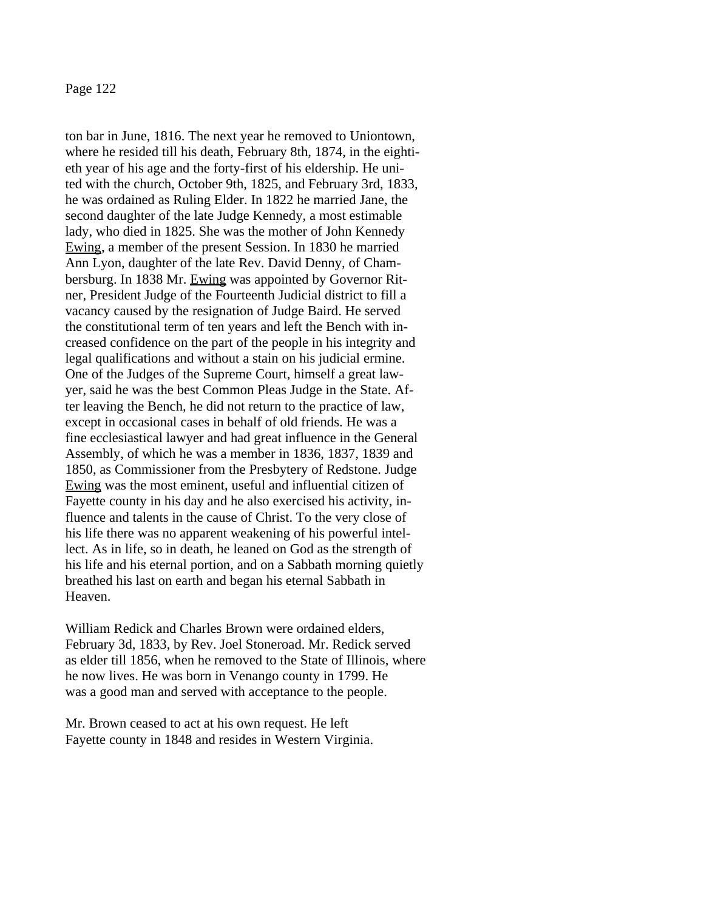ton bar in June, 1816. The next year he removed to Uniontown, where he resided till his death, February 8th, 1874, in the eightieth year of his age and the forty-first of his eldership. He united with the church, October 9th, 1825, and February 3rd, 1833, he was ordained as Ruling Elder. In 1822 he married Jane, the second daughter of the late Judge Kennedy, a most estimable lady, who died in 1825. She was the mother of John Kennedy Ewing, a member of the present Session. In 1830 he married Ann Lyon, daughter of the late Rev. David Denny, of Chambersburg. In 1838 Mr. Ewing was appointed by Governor Ritner, President Judge of the Fourteenth Judicial district to fill a vacancy caused by the resignation of Judge Baird. He served the constitutional term of ten years and left the Bench with increased confidence on the part of the people in his integrity and legal qualifications and without a stain on his judicial ermine. One of the Judges of the Supreme Court, himself a great lawyer, said he was the best Common Pleas Judge in the State. After leaving the Bench, he did not return to the practice of law, except in occasional cases in behalf of old friends. He was a fine ecclesiastical lawyer and had great influence in the General Assembly, of which he was a member in 1836, 1837, 1839 and 1850, as Commissioner from the Presbytery of Redstone. Judge Ewing was the most eminent, useful and influential citizen of Fayette county in his day and he also exercised his activity, influence and talents in the cause of Christ. To the very close of his life there was no apparent weakening of his powerful intellect. As in life, so in death, he leaned on God as the strength of his life and his eternal portion, and on a Sabbath morning quietly breathed his last on earth and began his eternal Sabbath in Heaven.

William Redick and Charles Brown were ordained elders, February 3d, 1833, by Rev. Joel Stoneroad. Mr. Redick served as elder till 1856, when he removed to the State of Illinois, where he now lives. He was born in Venango county in 1799. He was a good man and served with acceptance to the people.

Mr. Brown ceased to act at his own request. He left Fayette county in 1848 and resides in Western Virginia.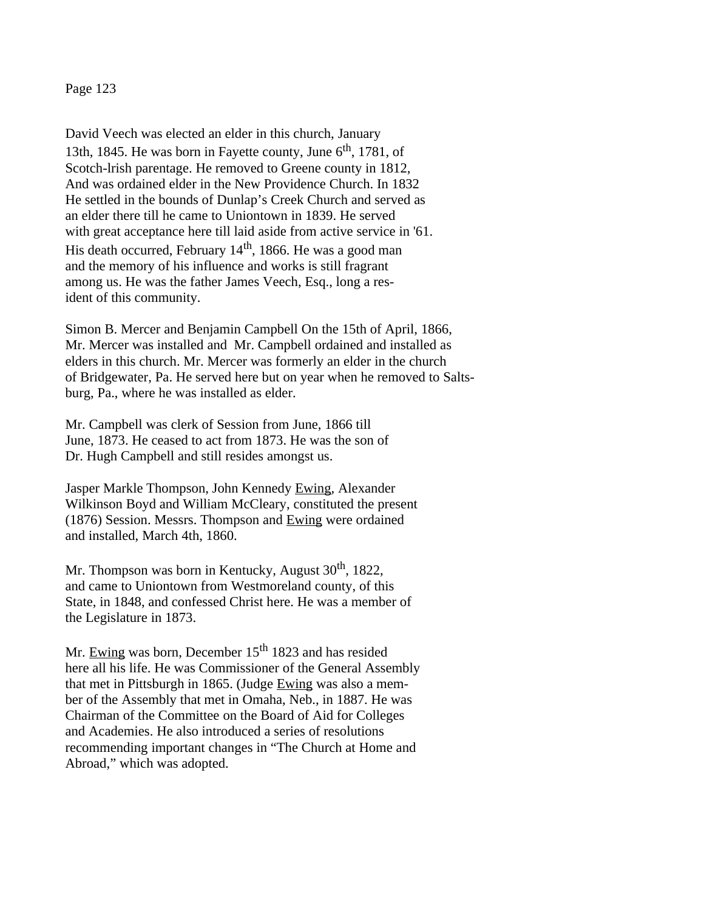David Veech was elected an elder in this church, January 13th, 1845. He was born in Fayette county, June  $6<sup>th</sup>$ , 1781, of Scotch-lrish parentage. He removed to Greene county in 1812, And was ordained elder in the New Providence Church. In 1832 He settled in the bounds of Dunlap's Creek Church and served as an elder there till he came to Uniontown in 1839. He served with great acceptance here till laid aside from active service in '61. His death occurred, February  $14<sup>th</sup>$ , 1866. He was a good man and the memory of his influence and works is still fragrant among us. He was the father James Veech, Esq., long a resident of this community.

Simon B. Mercer and Benjamin Campbell On the 15th of April, 1866, Mr. Mercer was installed and Mr. Campbell ordained and installed as elders in this church. Mr. Mercer was formerly an elder in the church of Bridgewater, Pa. He served here but on year when he removed to Saltsburg, Pa., where he was installed as elder.

Mr. Campbell was clerk of Session from June, 1866 till June, 1873. He ceased to act from 1873. He was the son of Dr. Hugh Campbell and still resides amongst us.

Jasper Markle Thompson, John Kennedy Ewing, Alexander Wilkinson Boyd and William McCleary, constituted the present (1876) Session. Messrs. Thompson and Ewing were ordained and installed, March 4th, 1860.

Mr. Thompson was born in Kentucky, August  $30<sup>th</sup>$ , 1822, and came to Uniontown from Westmoreland county, of this State, in 1848, and confessed Christ here. He was a member of the Legislature in 1873.

Mr. Ewing was born, December 15<sup>th</sup> 1823 and has resided here all his life. He was Commissioner of the General Assembly that met in Pittsburgh in 1865. (Judge Ewing was also a member of the Assembly that met in Omaha, Neb., in 1887. He was Chairman of the Committee on the Board of Aid for Colleges and Academies. He also introduced a series of resolutions recommending important changes in "The Church at Home and Abroad," which was adopted.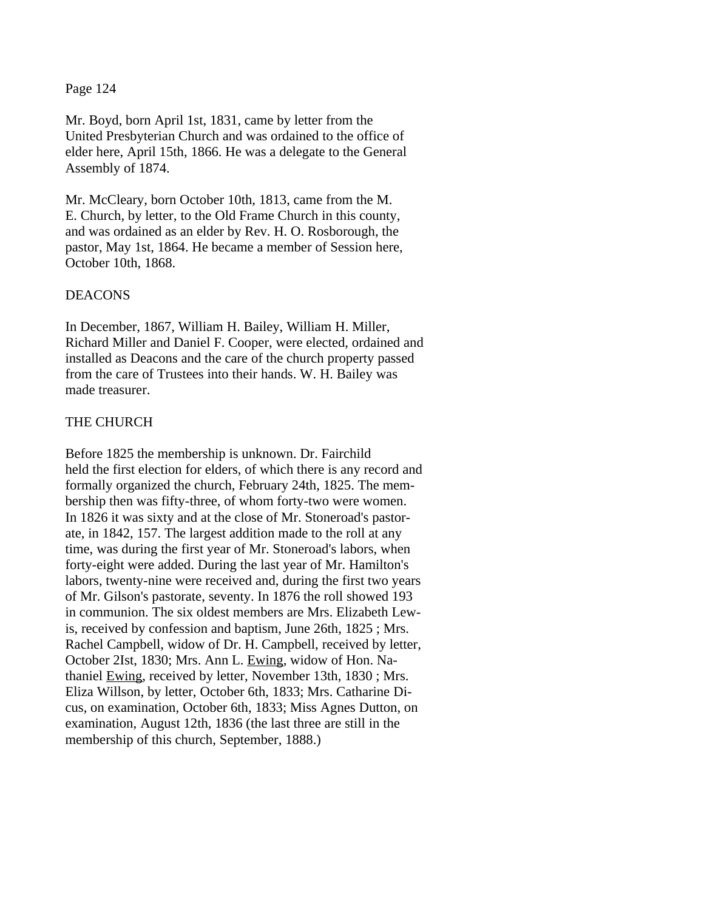Mr. Boyd, born April 1st, 1831, came by letter from the United Presbyterian Church and was ordained to the office of elder here, April 15th, 1866. He was a delegate to the General Assembly of 1874.

Mr. McCleary, born October 10th, 1813, came from the M. E. Church, by letter, to the Old Frame Church in this county, and was ordained as an elder by Rev. H. O. Rosborough, the pastor, May 1st, 1864. He became a member of Session here, October 10th, 1868.

## DEACONS

In December, 1867, William H. Bailey, William H. Miller, Richard Miller and Daniel F. Cooper, were elected, ordained and installed as Deacons and the care of the church property passed from the care of Trustees into their hands. W. H. Bailey was made treasurer.

#### THE CHURCH

Before 1825 the membership is unknown. Dr. Fairchild held the first election for elders, of which there is any record and formally organized the church, February 24th, 1825. The membership then was fifty-three, of whom forty-two were women. In 1826 it was sixty and at the close of Mr. Stoneroad's pastorate, in 1842, 157. The largest addition made to the roll at any time, was during the first year of Mr. Stoneroad's labors, when forty-eight were added. During the last year of Mr. Hamilton's labors, twenty-nine were received and, during the first two years of Mr. Gilson's pastorate, seventy. In 1876 the roll showed 193 in communion. The six oldest members are Mrs. Elizabeth Lewis, received by confession and baptism, June 26th, 1825 ; Mrs. Rachel Campbell, widow of Dr. H. Campbell, received by letter, October 2Ist, 1830; Mrs. Ann L. Ewing, widow of Hon. Nathaniel Ewing, received by letter, November 13th, 1830 ; Mrs. Eliza Willson, by letter, October 6th, 1833; Mrs. Catharine Dicus, on examination, October 6th, 1833; Miss Agnes Dutton, on examination, August 12th, 1836 (the last three are still in the membership of this church, September, 1888.)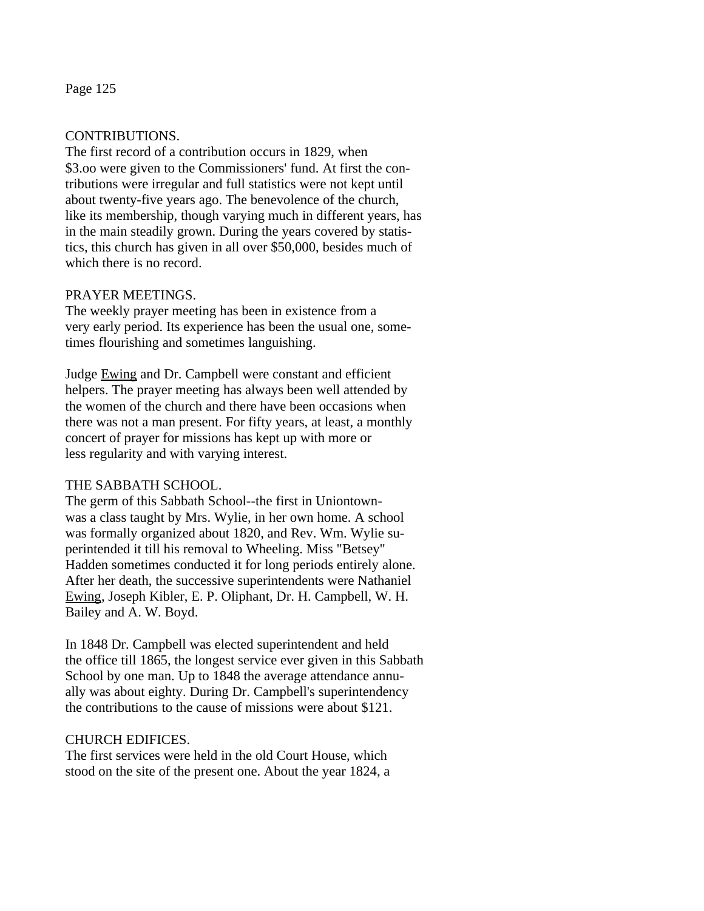# CONTRIBUTIONS.

The first record of a contribution occurs in 1829, when \$3.oo were given to the Commissioners' fund. At first the contributions were irregular and full statistics were not kept until about twenty-five years ago. The benevolence of the church, like its membership, though varying much in different years, has in the main steadily grown. During the years covered by statistics, this church has given in all over \$50,000, besides much of which there is no record.

## PRAYER MEETINGS.

The weekly prayer meeting has been in existence from a very early period. Its experience has been the usual one, sometimes flourishing and sometimes languishing.

Judge Ewing and Dr. Campbell were constant and efficient helpers. The prayer meeting has always been well attended by the women of the church and there have been occasions when there was not a man present. For fifty years, at least, a monthly concert of prayer for missions has kept up with more or less regularity and with varying interest.

# THE SABBATH SCHOOL.

The germ of this Sabbath School--the first in Uniontownwas a class taught by Mrs. Wylie, in her own home. A school was formally organized about 1820, and Rev. Wm. Wylie superintended it till his removal to Wheeling. Miss "Betsey" Hadden sometimes conducted it for long periods entirely alone. After her death, the successive superintendents were Nathaniel Ewing, Joseph Kibler, E. P. Oliphant, Dr. H. Campbell, W. H. Bailey and A. W. Boyd.

In 1848 Dr. Campbell was elected superintendent and held the office till 1865, the longest service ever given in this Sabbath School by one man. Up to 1848 the average attendance annually was about eighty. During Dr. Campbell's superintendency the contributions to the cause of missions were about \$121.

#### CHURCH EDIFICES.

The first services were held in the old Court House, which stood on the site of the present one. About the year 1824, a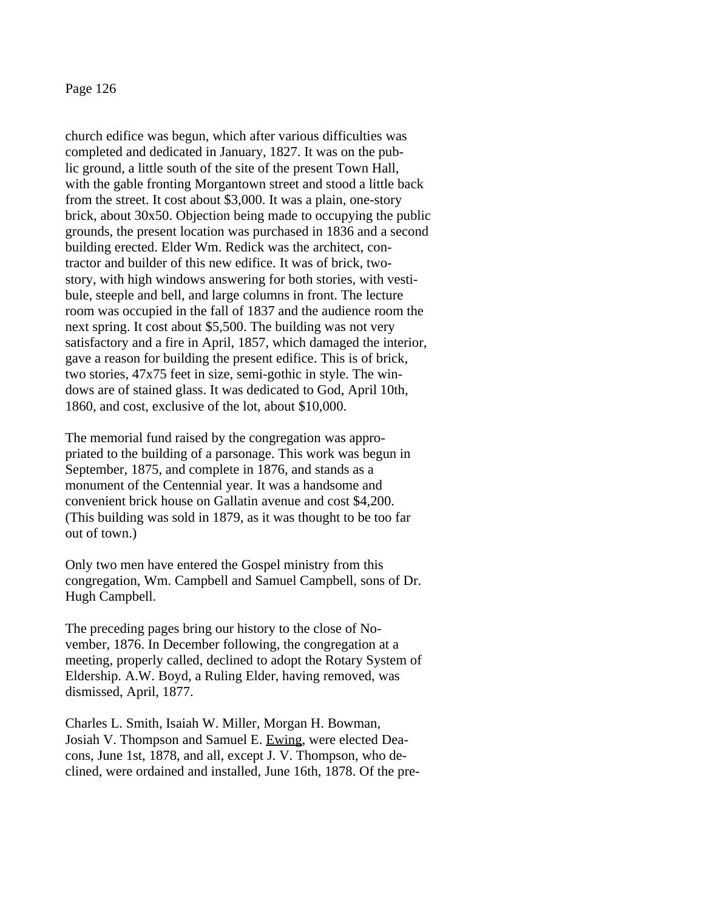church edifice was begun, which after various difficulties was completed and dedicated in January, 1827. It was on the public ground, a little south of the site of the present Town Hall, with the gable fronting Morgantown street and stood a little back from the street. It cost about \$3,000. It was a plain, one-story brick, about 30x50. Objection being made to occupying the public grounds, the present location was purchased in 1836 and a second building erected. Elder Wm. Redick was the architect, contractor and builder of this new edifice. It was of brick, twostory, with high windows answering for both stories, with vestibule, steeple and bell, and large columns in front. The lecture room was occupied in the fall of 1837 and the audience room the next spring. It cost about \$5,500. The building was not very satisfactory and a fire in April, 1857, which damaged the interior, gave a reason for building the present edifice. This is of brick, two stories, 47x75 feet in size, semi-gothic in style. The windows are of stained glass. It was dedicated to God, April 10th, 1860, and cost, exclusive of the lot, about \$10,000.

The memorial fund raised by the congregation was appropriated to the building of a parsonage. This work was begun in September, 1875, and complete in 1876, and stands as a monument of the Centennial year. It was a handsome and convenient brick house on Gallatin avenue and cost \$4,200. (This building was sold in 1879, as it was thought to be too far out of town.)

Only two men have entered the Gospel ministry from this congregation, Wm. Campbell and Samuel Campbell, sons of Dr. Hugh Campbell.

The preceding pages bring our history to the close of November, 1876. In December following, the congregation at a meeting, properly called, declined to adopt the Rotary System of Eldership. A.W. Boyd, a Ruling Elder, having removed, was dismissed, April, 1877.

Charles L. Smith, Isaiah W. Miller, Morgan H. Bowman, Josiah V. Thompson and Samuel E. Ewing, were elected Deacons, June 1st, 1878, and all, except J. V. Thompson, who declined, were ordained and installed, June 16th, 1878. Of the pre-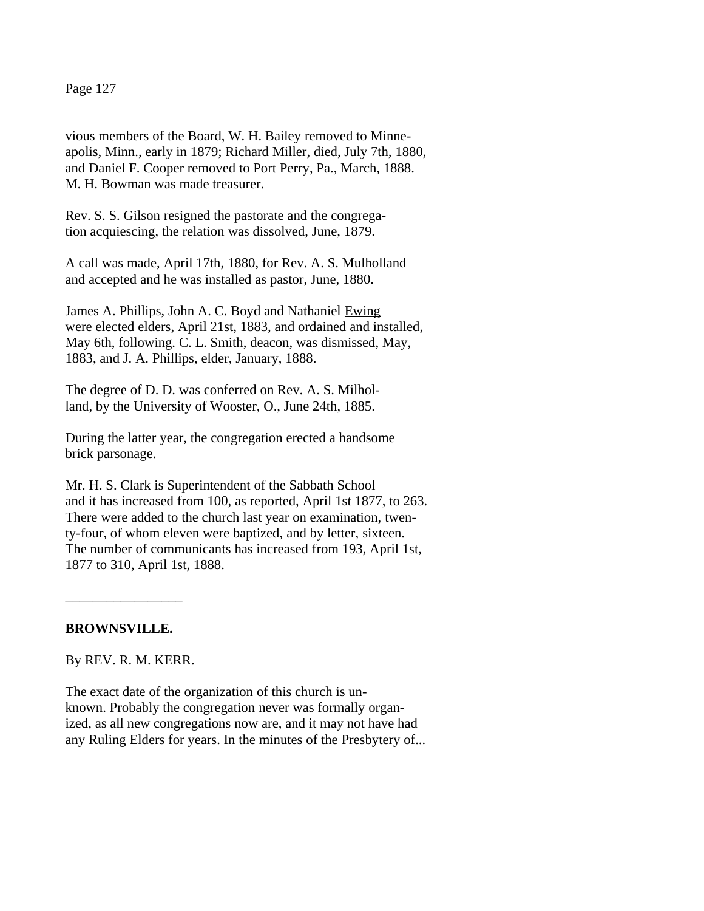vious members of the Board, W. H. Bailey removed to Minneapolis, Minn., early in 1879; Richard Miller, died, July 7th, 1880, and Daniel F. Cooper removed to Port Perry, Pa., March, 1888. M. H. Bowman was made treasurer.

Rev. S. S. Gilson resigned the pastorate and the congregation acquiescing, the relation was dissolved, June, 1879.

A call was made, April 17th, 1880, for Rev. A. S. Mulholland and accepted and he was installed as pastor, June, 1880.

James A. Phillips, John A. C. Boyd and Nathaniel Ewing were elected elders, April 21st, 1883, and ordained and installed, May 6th, following. C. L. Smith, deacon, was dismissed, May, 1883, and J. A. Phillips, elder, January, 1888.

The degree of D. D. was conferred on Rev. A. S. Milholland, by the University of Wooster, O., June 24th, 1885.

During the latter year, the congregation erected a handsome brick parsonage.

Mr. H. S. Clark is Superintendent of the Sabbath School and it has increased from 100, as reported, April 1st 1877, to 263. There were added to the church last year on examination, twenty-four, of whom eleven were baptized, and by letter, sixteen. The number of communicants has increased from 193, April 1st, 1877 to 310, April 1st, 1888.

# **BROWNSVILLE.**

 $\overline{\phantom{a}}$  , where  $\overline{\phantom{a}}$ 

By REV. R. M. KERR.

The exact date of the organization of this church is unknown. Probably the congregation never was formally organized, as all new congregations now are, and it may not have had any Ruling Elders for years. In the minutes of the Presbytery of...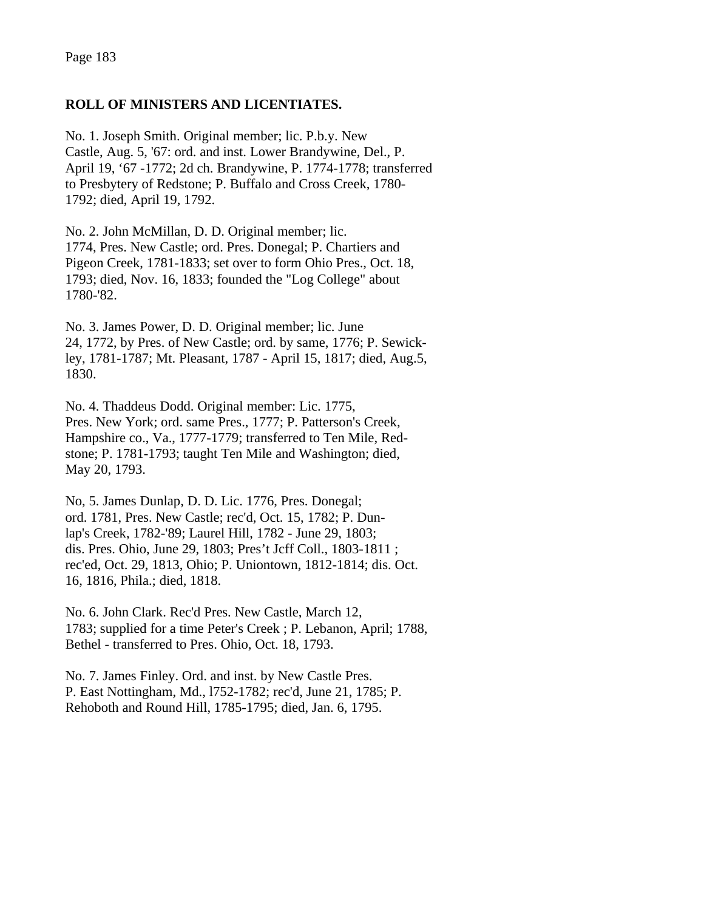# **ROLL OF MINISTERS AND LICENTIATES.**

No. 1. Joseph Smith. Original member; lic. P.b.y. New Castle, Aug. 5, '67: ord. and inst. Lower Brandywine, Del., P. April 19, '67 -1772; 2d ch. Brandywine, P. 1774-1778; transferred to Presbytery of Redstone; P. Buffalo and Cross Creek, 1780- 1792; died, April 19, 1792.

No. 2. John McMillan, D. D. Original member; lic. 1774, Pres. New Castle; ord. Pres. Donegal; P. Chartiers and Pigeon Creek, 1781-1833; set over to form Ohio Pres., Oct. 18, 1793; died, Nov. 16, 1833; founded the "Log College" about 1780-'82.

No. 3. James Power, D. D. Original member; lic. June 24, 1772, by Pres. of New Castle; ord. by same, 1776; P. Sewickley, 1781-1787; Mt. Pleasant, 1787 - April 15, 1817; died, Aug.5, 1830.

No. 4. Thaddeus Dodd. Original member: Lic. 1775, Pres. New York; ord. same Pres., 1777; P. Patterson's Creek, Hampshire co., Va., 1777-1779; transferred to Ten Mile, Redstone; P. 1781-1793; taught Ten Mile and Washington; died, May 20, 1793.

No, 5. James Dunlap, D. D. Lic. 1776, Pres. Donegal; ord. 1781, Pres. New Castle; rec'd, Oct. 15, 1782; P. Dunlap's Creek, 1782-'89; Laurel Hill, 1782 - June 29, 1803; dis. Pres. Ohio, June 29, 1803; Pres't Jcff Coll., 1803-1811 ; rec'ed, Oct. 29, 1813, Ohio; P. Uniontown, 1812-1814; dis. Oct. 16, 1816, Phila.; died, 1818.

No. 6. John Clark. Rec'd Pres. New Castle, March 12, 1783; supplied for a time Peter's Creek ; P. Lebanon, April; 1788, Bethel - transferred to Pres. Ohio, Oct. 18, 1793.

No. 7. James Finley. Ord. and inst. by New Castle Pres. P. East Nottingham, Md., l752-1782; rec'd, June 21, 1785; P. Rehoboth and Round Hill, 1785-1795; died, Jan. 6, 1795.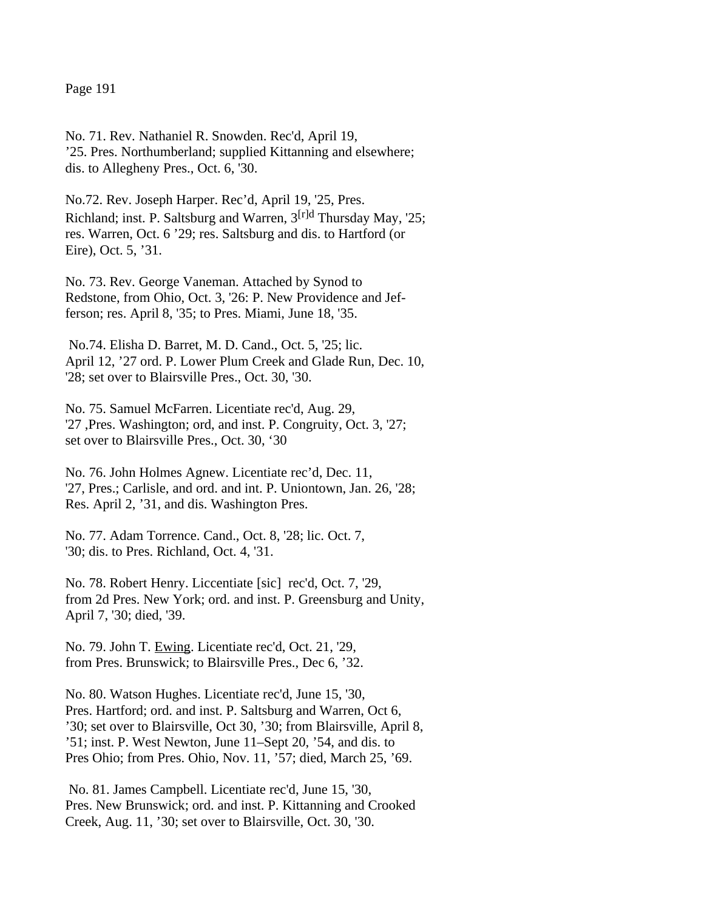No. 71. Rev. Nathaniel R. Snowden. Rec'd, April 19, '25. Pres. Northumberland; supplied Kittanning and elsewhere; dis. to Allegheny Pres., Oct. 6, '30.

No.72. Rev. Joseph Harper. Rec'd, April 19, '25, Pres. Richland; inst. P. Saltsburg and Warren,  $3^{[r]d}$  Thursday May. '25: res. Warren, Oct. 6 '29; res. Saltsburg and dis. to Hartford (or Eire), Oct. 5, '31.

No. 73. Rev. George Vaneman. Attached by Synod to Redstone, from Ohio, Oct. 3, '26: P. New Providence and Jefferson; res. April 8, '35; to Pres. Miami, June 18, '35.

No.74. Elisha D. Barret, M. D. Cand., Oct. 5, '25; lic. April 12, '27 ord. P. Lower Plum Creek and Glade Run, Dec. 10, '28; set over to Blairsville Pres., Oct. 30, '30.

No. 75. Samuel McFarren. Licentiate rec'd, Aug. 29, '27 ,Pres. Washington; ord, and inst. P. Congruity, Oct. 3, '27; set over to Blairsville Pres., Oct. 30, '30

No. 76. John Holmes Agnew. Licentiate rec'd, Dec. 11, '27, Pres.; Carlisle, and ord. and int. P. Uniontown, Jan. 26, '28; Res. April 2, '31, and dis. Washington Pres.

No. 77. Adam Torrence. Cand., Oct. 8, '28; lic. Oct. 7, '30; dis. to Pres. Richland, Oct. 4, '31.

No. 78. Robert Henry. Liccentiate [sic] rec'd, Oct. 7, '29, from 2d Pres. New York; ord. and inst. P. Greensburg and Unity, April 7, '30; died, '39.

No. 79. John T. Ewing. Licentiate rec'd, Oct. 21, '29, from Pres. Brunswick; to Blairsville Pres., Dec 6, '32.

No. 80. Watson Hughes. Licentiate rec'd, June 15, '30, Pres. Hartford; ord. and inst. P. Saltsburg and Warren, Oct 6, '30; set over to Blairsville, Oct 30, '30; from Blairsville, April 8, '51; inst. P. West Newton, June 11–Sept 20, '54, and dis. to Pres Ohio; from Pres. Ohio, Nov. 11, '57; died, March 25, '69.

 No. 81. James Campbell. Licentiate rec'd, June 15, '30, Pres. New Brunswick; ord. and inst. P. Kittanning and Crooked Creek, Aug. 11, '30; set over to Blairsville, Oct. 30, '30.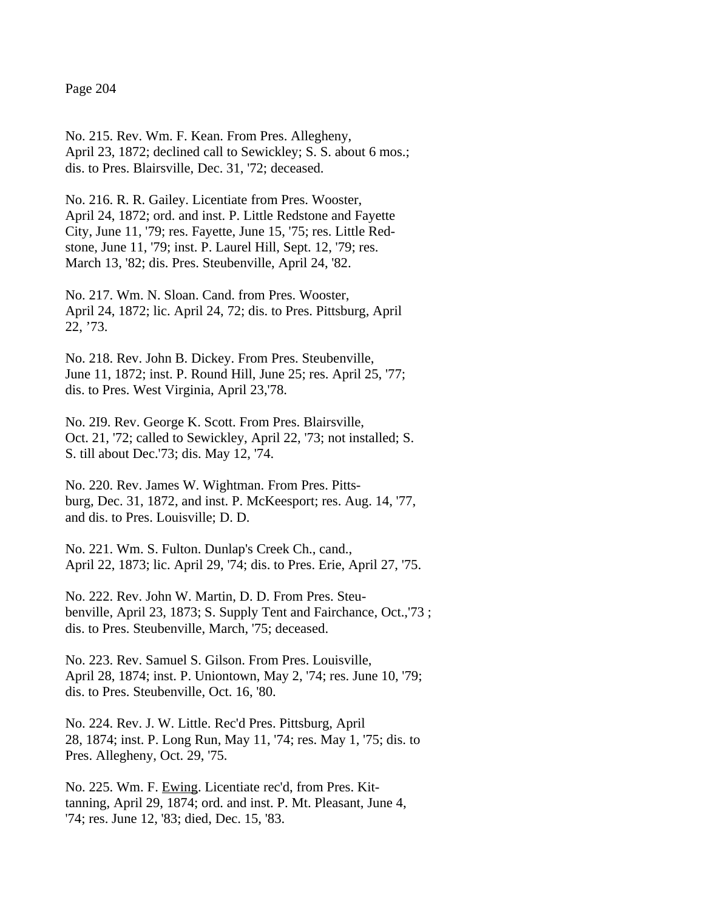No. 215. Rev. Wm. F. Kean. From Pres. Allegheny, April 23, 1872; declined call to Sewickley; S. S. about 6 mos.; dis. to Pres. Blairsville, Dec. 31, '72; deceased.

No. 216. R. R. Gailey. Licentiate from Pres. Wooster, April 24, 1872; ord. and inst. P. Little Redstone and Fayette City, June 11, '79; res. Fayette, June 15, '75; res. Little Redstone, June 11, '79; inst. P. Laurel Hill, Sept. 12, '79; res. March 13, '82; dis. Pres. Steubenville, April 24, '82.

No. 217. Wm. N. Sloan. Cand. from Pres. Wooster, April 24, 1872; lic. April 24, 72; dis. to Pres. Pittsburg, April 22, '73.

No. 218. Rev. John B. Dickey. From Pres. Steubenville, June 11, 1872; inst. P. Round Hill, June 25; res. April 25, '77; dis. to Pres. West Virginia, April 23,'78.

No. 2I9. Rev. George K. Scott. From Pres. Blairsville, Oct. 21, '72; called to Sewickley, April 22, '73; not installed; S. S. till about Dec.'73; dis. May 12, '74.

No. 220. Rev. James W. Wightman. From Pres. Pittsburg, Dec. 31, 1872, and inst. P. McKeesport; res. Aug. 14, '77, and dis. to Pres. Louisville; D. D.

No. 221. Wm. S. Fulton. Dunlap's Creek Ch., cand., April 22, 1873; lic. April 29, '74; dis. to Pres. Erie, April 27, '75.

No. 222. Rev. John W. Martin, D. D. From Pres. Steubenville, April 23, 1873; S. Supply Tent and Fairchance, Oct.,'73 ; dis. to Pres. Steubenville, March, '75; deceased.

No. 223. Rev. Samuel S. Gilson. From Pres. Louisville, April 28, 1874; inst. P. Uniontown, May 2, '74; res. June 10, '79; dis. to Pres. Steubenville, Oct. 16, '80.

No. 224. Rev. J. W. Little. Rec'd Pres. Pittsburg, April 28, 1874; inst. P. Long Run, May 11, '74; res. May 1, '75; dis. to Pres. Allegheny, Oct. 29, '75.

No. 225. Wm. F. Ewing. Licentiate rec'd, from Pres. Kittanning, April 29, 1874; ord. and inst. P. Mt. Pleasant, June 4, '74; res. June 12, '83; died, Dec. 15, '83.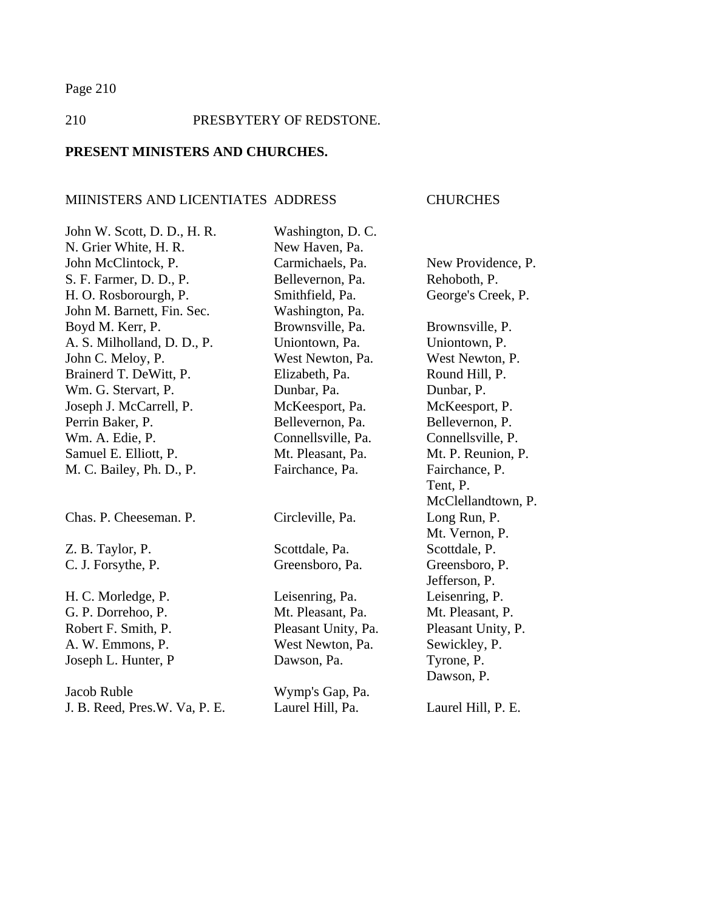# 210 PRESBYTERY OF REDSTONE.

# **PRESENT MINISTERS AND CHURCHES.**

# MIINISTERS AND LICENTIATES ADDRESS CHURCHES

| John W. Scott, D. D., H. R.   | Washington, D. C.   |                    |
|-------------------------------|---------------------|--------------------|
| N. Grier White, H. R.         | New Haven, Pa.      |                    |
| John McClintock, P.           | Carmichaels, Pa.    | New Providence, P. |
| S. F. Farmer, D. D., P.       | Bellevernon, Pa.    | Rehoboth, P.       |
| H. O. Rosborourgh, P.         | Smithfield, Pa.     | George's Creek, P. |
| John M. Barnett, Fin. Sec.    | Washington, Pa.     |                    |
| Boyd M. Kerr, P.              | Brownsville, Pa.    | Brownsville, P.    |
| A. S. Milholland, D. D., P.   | Uniontown, Pa.      | Uniontown, P.      |
| John C. Meloy, P.             | West Newton, Pa.    | West Newton, P.    |
| Brainerd T. DeWitt, P.        | Elizabeth, Pa.      | Round Hill, P.     |
| Wm. G. Stervart, P.           | Dunbar, Pa.         | Dunbar, P.         |
| Joseph J. McCarrell, P.       | McKeesport, Pa.     | McKeesport, P.     |
| Perrin Baker, P.              | Bellevernon, Pa.    | Bellevernon, P.    |
| Wm. A. Edie, P.               | Connellsville, Pa.  | Connellsville, P.  |
| Samuel E. Elliott, P.         | Mt. Pleasant, Pa.   | Mt. P. Reunion, P. |
| M. C. Bailey, Ph. D., P.      | Fairchance, Pa.     | Fairchance, P.     |
|                               |                     | Tent, P.           |
|                               |                     | McClellandtown, P. |
| Chas. P. Cheeseman. P.        | Circleville, Pa.    | Long Run, P.       |
|                               |                     | Mt. Vernon, P.     |
| Z. B. Taylor, P.              | Scottdale, Pa.      | Scottdale, P.      |
| C. J. Forsythe, P.            | Greensboro, Pa.     | Greensboro, P.     |
|                               |                     | Jefferson, P.      |
| H. C. Morledge, P.            | Leisenring, Pa.     | Leisenring, P.     |
| G. P. Dorrehoo, P.            | Mt. Pleasant, Pa.   | Mt. Pleasant, P.   |
| Robert F. Smith, P.           | Pleasant Unity, Pa. | Pleasant Unity, P. |
| A. W. Emmons, P.              | West Newton, Pa.    | Sewickley, P.      |
| Joseph L. Hunter, P           | Dawson, Pa.         | Tyrone, P.         |
|                               |                     | Dawson, P.         |
| Jacob Ruble                   | Wymp's Gap, Pa.     |                    |
| J. B. Reed, Pres.W. Va, P. E. | Laurel Hill, Pa.    | Laurel Hill, P. E. |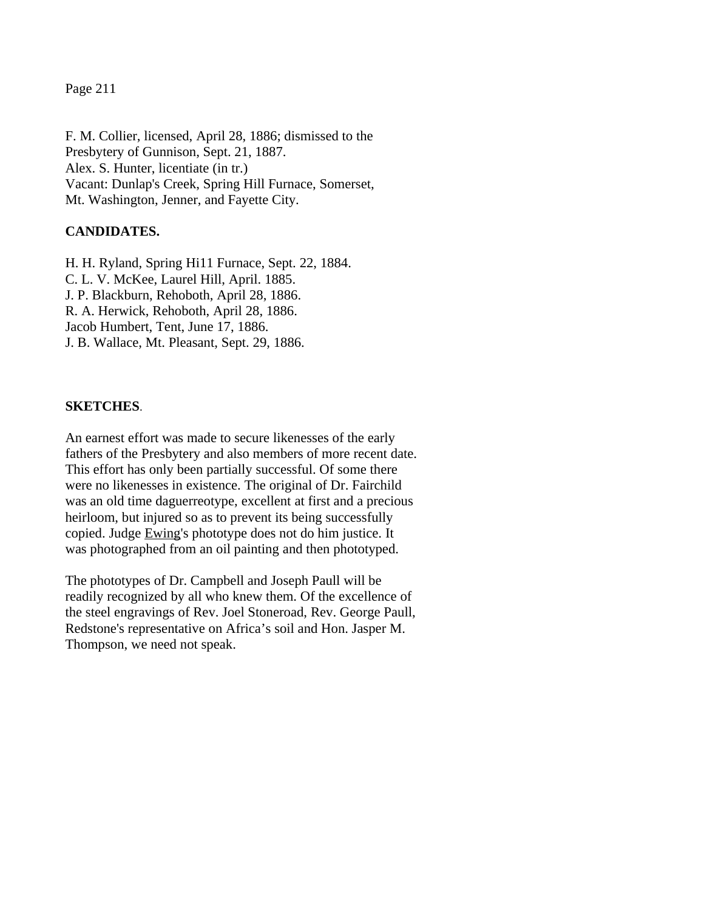F. M. Collier, licensed, April 28, 1886; dismissed to the Presbytery of Gunnison, Sept. 21, 1887. Alex. S. Hunter, licentiate (in tr.) Vacant: Dunlap's Creek, Spring Hill Furnace, Somerset, Mt. Washington, Jenner, and Fayette City.

# **CANDIDATES.**

H. H. Ryland, Spring Hi11 Furnace, Sept. 22, 1884. C. L. V. McKee, Laurel Hill, April. 1885. J. P. Blackburn, Rehoboth, April 28, 1886. R. A. Herwick, Rehoboth, April 28, 1886. Jacob Humbert, Tent, June 17, 1886. J. B. Wallace, Mt. Pleasant, Sept. 29, 1886.

#### **SKETCHES**.

An earnest effort was made to secure likenesses of the early fathers of the Presbytery and also members of more recent date. This effort has only been partially successful. Of some there were no likenesses in existence. The original of Dr. Fairchild was an old time daguerreotype, excellent at first and a precious heirloom, but injured so as to prevent its being successfully copied. Judge Ewing's phototype does not do him justice. It was photographed from an oil painting and then phototyped.

The phototypes of Dr. Campbell and Joseph Paull will be readily recognized by all who knew them. Of the excellence of the steel engravings of Rev. Joel Stoneroad, Rev. George Paull, Redstone's representative on Africa's soil and Hon. Jasper M. Thompson, we need not speak.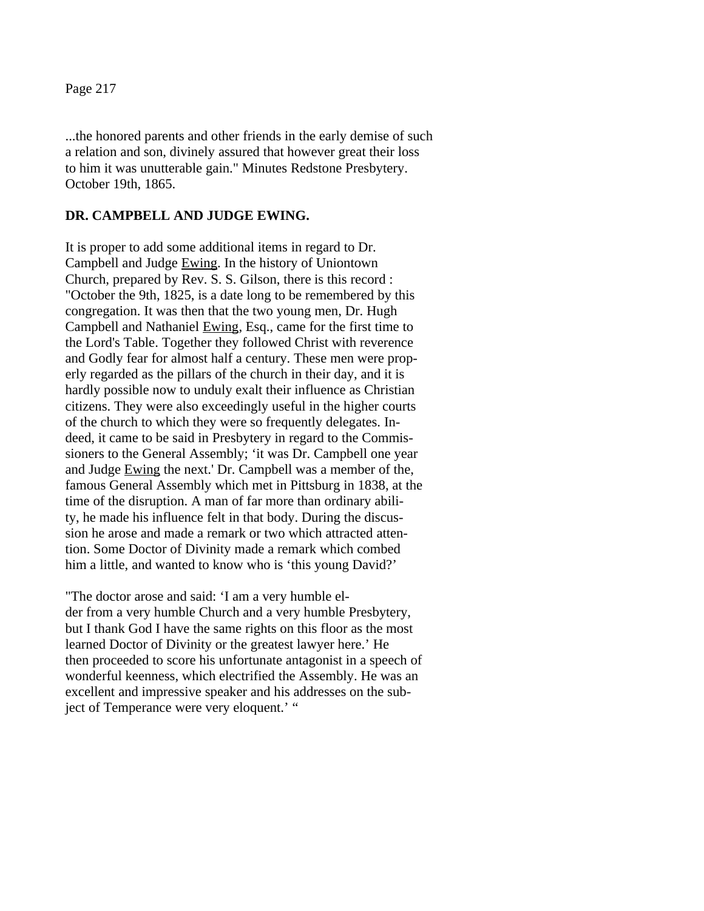...the honored parents and other friends in the early demise of such a relation and son, divinely assured that however great their loss to him it was unutterable gain." Minutes Redstone Presbytery. October 19th, 1865.

#### **DR. CAMPBELL AND JUDGE EWING.**

It is proper to add some additional items in regard to Dr. Campbell and Judge Ewing. In the history of Uniontown Church, prepared by Rev. S. S. Gilson, there is this record : "October the 9th, 1825, is a date long to be remembered by this congregation. It was then that the two young men, Dr. Hugh Campbell and Nathaniel Ewing, Esq., came for the first time to the Lord's Table. Together they followed Christ with reverence and Godly fear for almost half a century. These men were properly regarded as the pillars of the church in their day, and it is hardly possible now to unduly exalt their influence as Christian citizens. They were also exceedingly useful in the higher courts of the church to which they were so frequently delegates. Indeed, it came to be said in Presbytery in regard to the Commissioners to the General Assembly; 'it was Dr. Campbell one year and Judge Ewing the next.' Dr. Campbell was a member of the, famous General Assembly which met in Pittsburg in 1838, at the time of the disruption. A man of far more than ordinary ability, he made his influence felt in that body. During the discussion he arose and made a remark or two which attracted attention. Some Doctor of Divinity made a remark which combed him a little, and wanted to know who is 'this young David?'

"The doctor arose and said: 'I am a very humble elder from a very humble Church and a very humble Presbytery, but I thank God I have the same rights on this floor as the most learned Doctor of Divinity or the greatest lawyer here.' He then proceeded to score his unfortunate antagonist in a speech of wonderful keenness, which electrified the Assembly. He was an excellent and impressive speaker and his addresses on the subject of Temperance were very eloquent.' "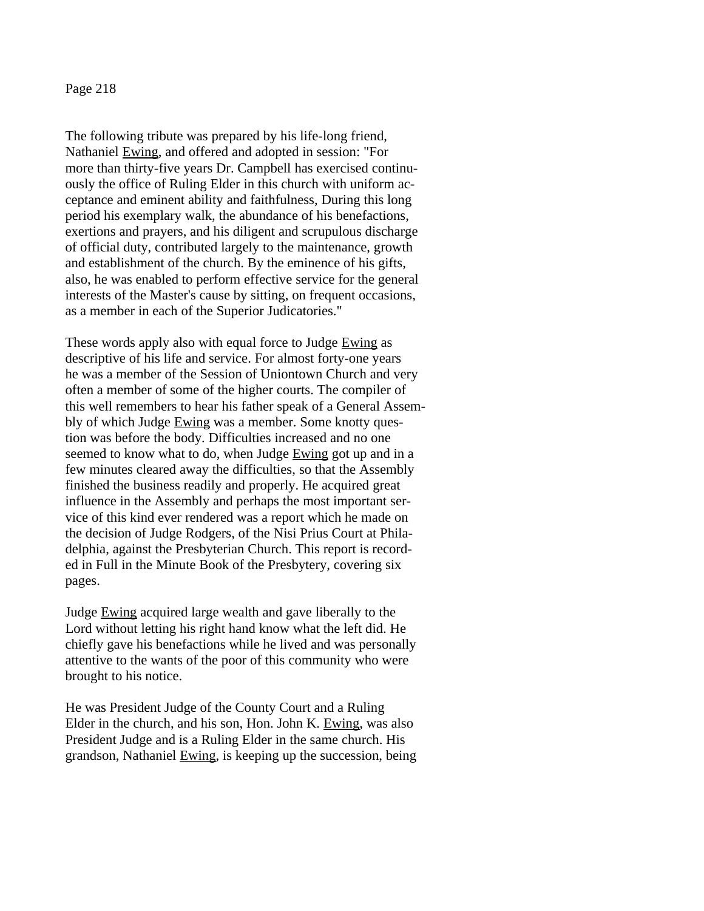The following tribute was prepared by his life-long friend, Nathaniel Ewing, and offered and adopted in session: "For more than thirty-five years Dr. Campbell has exercised continuously the office of Ruling Elder in this church with uniform acceptance and eminent ability and faithfulness, During this long period his exemplary walk, the abundance of his benefactions, exertions and prayers, and his diligent and scrupulous discharge of official duty, contributed largely to the maintenance, growth and establishment of the church. By the eminence of his gifts, also, he was enabled to perform effective service for the general interests of the Master's cause by sitting, on frequent occasions, as a member in each of the Superior Judicatories."

These words apply also with equal force to Judge Ewing as descriptive of his life and service. For almost forty-one years he was a member of the Session of Uniontown Church and very often a member of some of the higher courts. The compiler of this well remembers to hear his father speak of a General Assembly of which Judge Ewing was a member. Some knotty question was before the body. Difficulties increased and no one seemed to know what to do, when Judge Ewing got up and in a few minutes cleared away the difficulties, so that the Assembly finished the business readily and properly. He acquired great influence in the Assembly and perhaps the most important service of this kind ever rendered was a report which he made on the decision of Judge Rodgers, of the Nisi Prius Court at Philadelphia, against the Presbyterian Church. This report is recorded in Full in the Minute Book of the Presbytery, covering six pages.

Judge Ewing acquired large wealth and gave liberally to the Lord without letting his right hand know what the left did. He chiefly gave his benefactions while he lived and was personally attentive to the wants of the poor of this community who were brought to his notice.

He was President Judge of the County Court and a Ruling Elder in the church, and his son, Hon. John K. Ewing, was also President Judge and is a Ruling Elder in the same church. His grandson, Nathaniel Ewing, is keeping up the succession, being